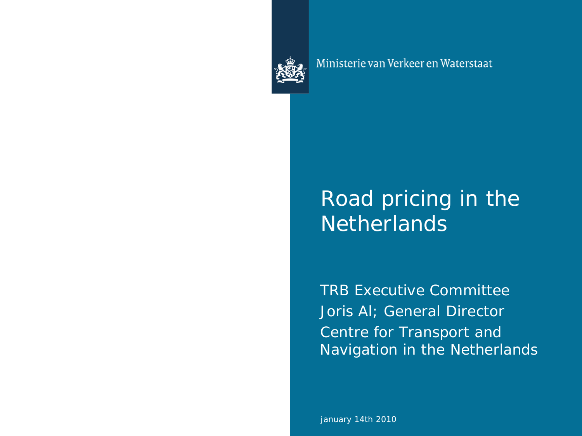

Ministerie van Verkeer en Waterstaat

## Road pricing in the **Netherlands**

TRB Executive Committee Joris AI; General Director Centre for Transport and Navigation in the Netherlands

january 14th 2010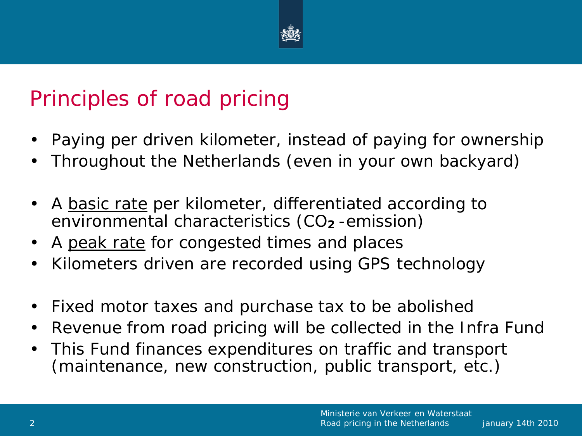

# Principles of road pricing

- Paying per driven kilometer, instead of paying for ownership
- Throughout the Netherlands (even in your own backyard)
- A <u>basic rate</u> per kilometer, differentiated according to environmental characteristics (CO**<sup>2</sup>** -emission)
- A peak rate for congested times and places
- Kilometers driven are recorded using GPS technology
- Fixed motor taxes and purchase tax to be abolished
- Revenue from road pricing will be collected in the Infra Fund
- This Fund finances expenditures on traffic and transport (maintenance, new construction, public transport, etc.)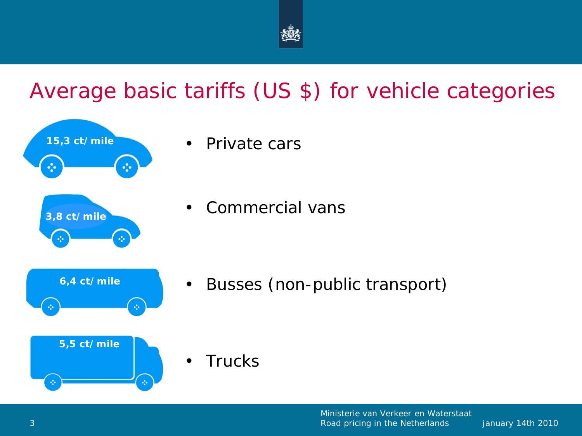

## Average basic tariffs (US \$) for vehicle categories



• Private cars

• Commercial vans

• Busses (non-public transport)

**Trucks**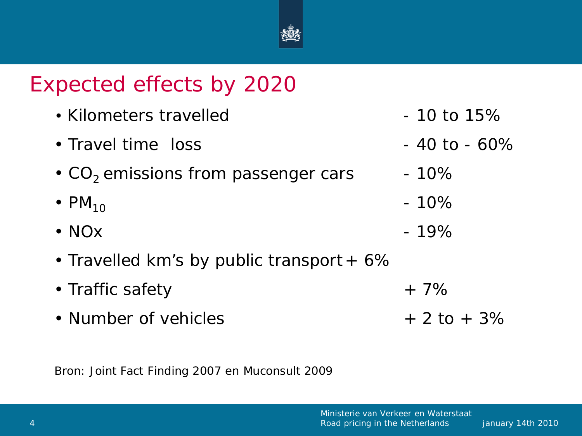

## Expected effects by 2020

| • Kilometers travelled                    | $-10$ to $15%$   |
|-------------------------------------------|------------------|
| • Travel time loss                        | $-40$ to $-60\%$ |
| • $CO2$ emissions from passenger cars     | $-10\%$          |
| $\cdot$ PM <sub>10</sub>                  | $-10%$           |
| $\cdot$ NO <sub>x</sub>                   | $-19%$           |
| • Travelled km's by public transport + 6% |                  |
| • Traffic safety                          | $+7%$            |
| • Number of vehicles                      | $+2$ to $+3\%$   |

Bron: Joint Fact Finding 2007 en Muconsult 2009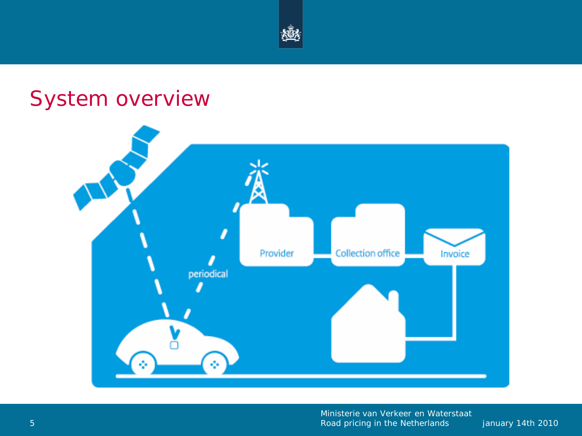

## System overview

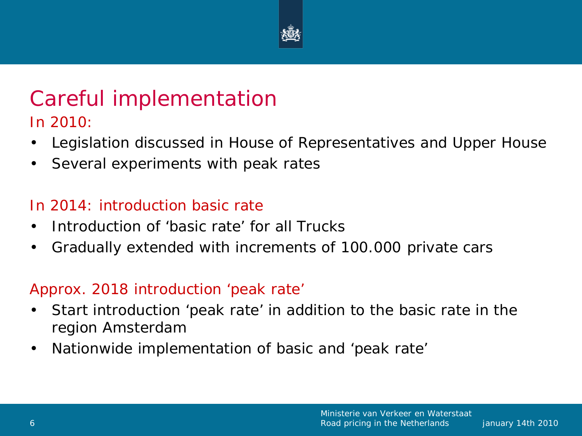

### Careful implementation In 2010:

- Legislation discussed in House of Representatives and Upper House
- Several experiments with peak rates

#### In 2014: introduction basic rate

- Introduction of 'basic rate' for all Trucks
- Gradually extended with increments of 100.000 private cars

#### Approx. 2018 introduction 'peak rate'

- Start introduction 'peak rate' in addition to the basic rate in the region Amsterdam
- Nationwide implementation of basic and 'peak rate'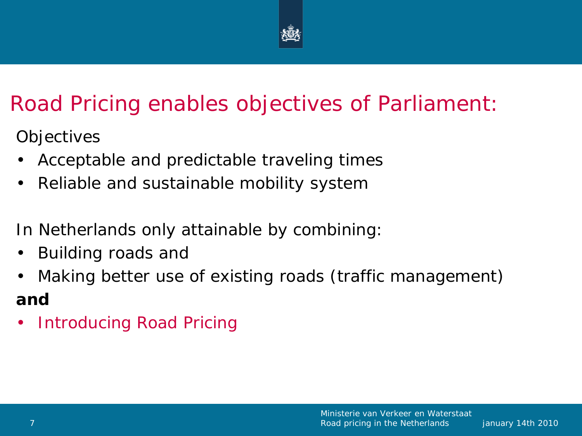

## Road Pricing enables objectives of Parliament:

**Objectives** 

- Acceptable and predictable traveling times
- Reliable and sustainable mobility system

In Netherlands only attainable by combining:

- Building roads and
- Making better use of existing roads (traffic management) **and**
- Introducing Road Pricing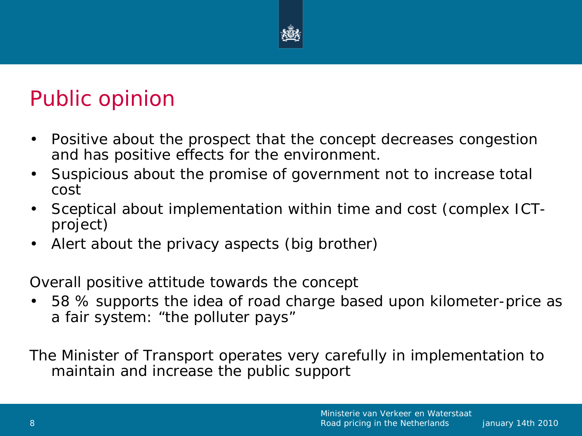

## Public opinion

- Positive about the prospect that the concept decreases congestion and has positive effects for the environment.
- Suspicious about the promise of government not to increase total cost
- Sceptical about implementation within time and cost (complex ICTproject)
- Alert about the privacy aspects (big brother)

Overall positive attitude towards the concept

• 58 % supports the idea of road charge based upon kilometer-price as a fair system: "the polluter pays"

The Minister of Transport operates very carefully in implementation to maintain and increase the public support